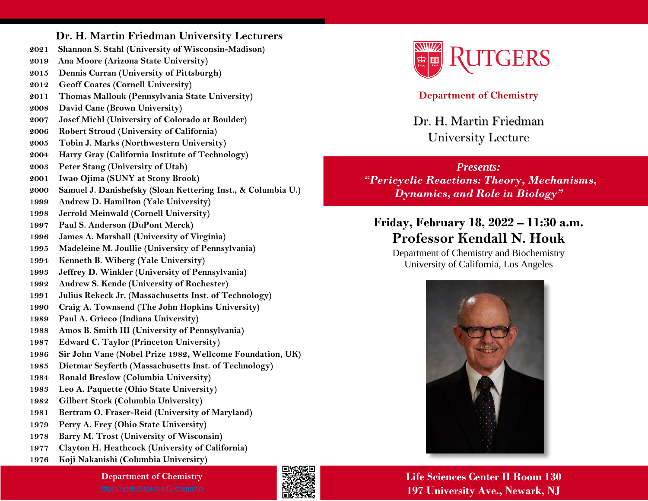#### **Dr. H. Martin Friedman University Lecturers**

- **2021 Shannon S. Stahl (University of Wisconsin-Madison)**
- **2019 Ana Moore (Arizona State University)**
- **Dennis Curran (University of Pittsburgh)**
- **Geoff Coates (Cornell University)**
- **Thomas Mallouk (Pennsylvania State University)**
- **David Cane (Brown University)**
- **Josef Michl (University of Colorado at Boulder)**
- **Robert Stroud (University of California)**
- **Tobin J. Marks (Northwestern University)**
- **Harry Gray (California Institute of Technology)**
- **Peter Stang (University of Utah)**
- **Iwao Ojima (SUNY at Stony Brook)**
- **Samuel J. Danishefsky (Sloan Kettering Inst., & Columbia U.)**
- **Andrew D. Hamilton (Yale University)**
- **Jerrold Meinwald (Cornell University)**
- **Paul S. Anderson (DuPont Merck)**
- **James A. Marshall (University of Virginia)**
- **Madeleine M. Joullie (University of Pennsylvania)**
- **Kenneth B. Wiberg (Yale University)**
- **Jeffrey D. Winkler (University of Pennsylvania)**
- **Andrew S. Kende (University of Rochester)**
- **Julius Rekeck Jr. (Massachusetts Inst. of Technology)**
- **Craig A. Townsend (The John Hopkins University)**
- **Paul A. Grieco (Indiana University)**
- **Amos B. Smith III (University of Pennsylvania)**
- **Edward C. Taylor (Princeton University)**
- **Sir John Vane (Nobel Prize 1982, Wellcome Foundation, UK)**
- **Dietmar Seyferth (Massachusetts Inst. of Technology)**
- **Ronald Breslow (Columbia University)**
- **Leo A. Paquette (Ohio State University)**
- **Gilbert Stork (Columbia University)**
- **Bertram O. Fraser-Reid (University of Maryland)**
- **Perry A. Frey (Ohio State University)**
- **Barry M. Trost (University of Wisconsin)**
- **Clayton H. Heathcock (University of California)**
- **Koji Nakanishi (Columbia University)**

**Department of Chemistry**





## **Department of Chemistry**

Dr. H. Martin Friedman University Lecture

*Presents: "Pericyclic Reactions: Theory, Mechanisms, Dynamics, and Role in Biology"*

# **Friday, February 18, 2022 – 11:30 a.m. Professor Kendall N. Houk**

Department of Chemistry and Biochemistry University of California, Los Angeles



**Life Sciences Center II Room 130 University Ave., Newark, NJ**